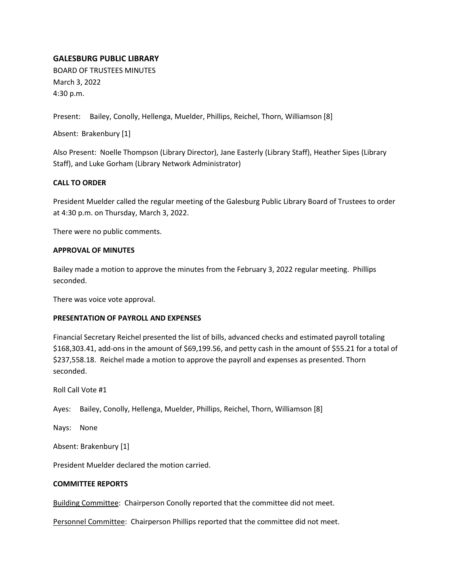# **GALESBURG PUBLIC LIBRARY**

BOARD OF TRUSTEES MINUTES March 3, 2022 4:30 p.m.

Present: Bailey, Conolly, Hellenga, Muelder, Phillips, Reichel, Thorn, Williamson [8]

Absent: Brakenbury [1]

Also Present: Noelle Thompson (Library Director), Jane Easterly (Library Staff), Heather Sipes (Library Staff), and Luke Gorham (Library Network Administrator)

## **CALL TO ORDER**

President Muelder called the regular meeting of the Galesburg Public Library Board of Trustees to order at 4:30 p.m. on Thursday, March 3, 2022.

There were no public comments.

#### **APPROVAL OF MINUTES**

Bailey made a motion to approve the minutes from the February 3, 2022 regular meeting. Phillips seconded.

There was voice vote approval.

## **PRESENTATION OF PAYROLL AND EXPENSES**

Financial Secretary Reichel presented the list of bills, advanced checks and estimated payroll totaling \$168,303.41, add-ons in the amount of \$69,199.56, and petty cash in the amount of \$55.21 for a total of \$237,558.18. Reichel made a motion to approve the payroll and expenses as presented. Thorn seconded.

Roll Call Vote #1

Ayes: Bailey, Conolly, Hellenga, Muelder, Phillips, Reichel, Thorn, Williamson [8]

Nays: None

Absent: Brakenbury [1]

President Muelder declared the motion carried.

#### **COMMITTEE REPORTS**

Building Committee: Chairperson Conolly reported that the committee did not meet.

Personnel Committee: Chairperson Phillips reported that the committee did not meet.